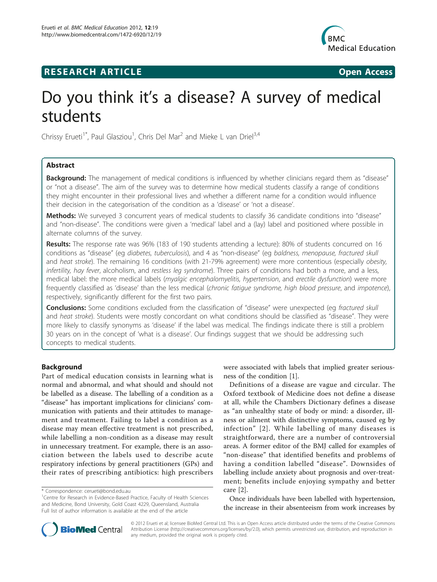## **RESEARCH ARTICLE Example 2018 Open Access**



# Do you think it's a disease? A survey of medical students

Chrissy Erueti<sup>1\*</sup>, Paul Glasziou<sup>1</sup>, Chris Del Mar<sup>2</sup> and Mieke L van Driel<sup>3,4</sup>

## Abstract

Background: The management of medical conditions is influenced by whether clinicians regard them as "disease" or "not a disease". The aim of the survey was to determine how medical students classify a range of conditions they might encounter in their professional lives and whether a different name for a condition would influence their decision in the categorisation of the condition as a 'disease' or 'not a disease'.

Methods: We surveyed 3 concurrent years of medical students to classify 36 candidate conditions into "disease" and "non-disease". The conditions were given a 'medical' label and a (lay) label and positioned where possible in alternate columns of the survey.

Results: The response rate was 96% (183 of 190 students attending a lecture): 80% of students concurred on 16 conditions as "disease" (eg diabetes, tuberculosis), and 4 as "non-disease" (eg baldness, menopause, fractured skull and heat stroke). The remaining 16 conditions (with 21-79% agreement) were more contentious (especially obesity, infertility, hay fever, alcoholism, and restless leg syndrome). Three pairs of conditions had both a more, and a less, medical label: the more medical labels (myalgic encephalomyelitis, hypertension, and erectile dysfunction) were more frequently classified as 'disease' than the less medical (chronic fatigue syndrome, high blood pressure, and impotence), respectively, significantly different for the first two pairs.

**Conclusions:** Some conditions excluded from the classification of "disease" were unexpected (eq fractured skull and heat stroke). Students were mostly concordant on what conditions should be classified as "disease". They were more likely to classify synonyms as 'disease' if the label was medical. The findings indicate there is still a problem 30 years on in the concept of 'what is a disease'. Our findings suggest that we should be addressing such concepts to medical students.

## Background

Part of medical education consists in learning what is normal and abnormal, and what should and should not be labelled as a disease. The labelling of a condition as a "disease" has important implications for clinicians' communication with patients and their attitudes to management and treatment. Failing to label a condition as a disease may mean effective treatment is not prescribed, while labelling a non-condition as a disease may result in unnecessary treatment. For example, there is an association between the labels used to describe acute respiratory infections by general practitioners (GPs) and their rates of prescribing antibiotics: high prescribers

were associated with labels that implied greater seriousness of the condition [[1\]](#page-3-0).

Definitions of a disease are vague and circular. The Oxford textbook of Medicine does not define a disease at all, while the Chambers Dictionary defines a disease as "an unhealthy state of body or mind: a disorder, illness or ailment with distinctive symptoms, caused eg by infection" [[2\]](#page-3-0). While labelling of many diseases is straightforward, there are a number of controversial areas. A former editor of the BMJ called for examples of "non-disease" that identified benefits and problems of having a condition labelled "disease". Downsides of labelling include anxiety about prognosis and over-treatment; benefits include enjoying sympathy and better care [[2\]](#page-3-0).

Once individuals have been labelled with hypertension, the increase in their absenteeism from work increases by



© 2012 Erueti et al; licensee BioMed Central Ltd. This is an Open Access article distributed under the terms of the Creative Commons Attribution License [\(http://creativecommons.org/licenses/by/2.0](http://creativecommons.org/licenses/by/2.0)), which permits unrestricted use, distribution, and reproduction in any medium, provided the original work is properly cited.

<sup>\*</sup> Correspondence: [cerueti@bond.edu.au](mailto:cerueti@bond.edu.au)

<sup>&</sup>lt;sup>1</sup>Centre for Research in Evidence-Based Practice, Faculty of Health Sciences and Medicine, Bond University, Gold Coast 4229, Queensland, Australia Full list of author information is available at the end of the article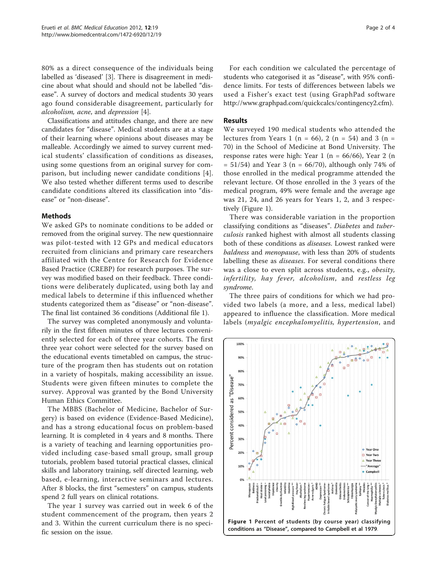<span id="page-1-0"></span>80% as a direct consequence of the individuals being labelled as 'diseased' [[3\]](#page-3-0). There is disagreement in medicine about what should and should not be labelled "disease". A survey of doctors and medical students 30 years ago found considerable disagreement, particularly for alcoholism, acne, and depression [\[4](#page-3-0)].

Classifications and attitudes change, and there are new candidates for "disease". Medical students are at a stage of their learning where opinions about diseases may be malleable. Accordingly we aimed to survey current medical students' classification of conditions as diseases, using some questions from an original survey for comparison, but including newer candidate conditions [[4](#page-3-0)]. We also tested whether different terms used to describe candidate conditions altered its classification into "disease" or "non-disease".

## Methods

We asked GPs to nominate conditions to be added or removed from the original survey. The new questionnaire was pilot-tested with 12 GPs and medical educators recruited from clinicians and primary care researchers affiliated with the Centre for Research for Evidence Based Practice (CREBP) for research purposes. The survey was modified based on their feedback. Three conditions were deliberately duplicated, using both lay and medical labels to determine if this influenced whether students categorized them as "disease" or "non-disease". The final list contained 36 conditions (Additional file [1\)](#page-3-0).

The survey was completed anonymously and voluntarily in the first fifteen minutes of three lectures conveniently selected for each of three year cohorts. The first three year cohort were selected for the survey based on the educational events timetabled on campus, the structure of the program then has students out on rotation in a variety of hospitals, making accessibility an issue. Students were given fifteen minutes to complete the survey. Approval was granted by the Bond University Human Ethics Committee.

The MBBS (Bachelor of Medicine, Bachelor of Surgery) is based on evidence (Evidence-Based Medicine), and has a strong educational focus on problem-based learning. It is completed in 4 years and 8 months. There is a variety of teaching and learning opportunities provided including case-based small group, small group tutorials, problem based tutorial practical classes, clinical skills and laboratory training, self directed learning, web based, e-learning, interactive seminars and lectures. After 8 blocks, the first "semesters" on campus, students spend 2 full years on clinical rotations.

The year 1 survey was carried out in week 6 of the student commencement of the program, then years 2 and 3. Within the current curriculum there is no specific session on the issue.

For each condition we calculated the percentage of students who categorised it as "disease", with 95% confidence limits. For tests of differences between labels we used a Fisher's exact test (using GraphPad software <http://www.graphpad.com/quickcalcs/contingency2.cfm>).

## Results

We surveyed 190 medical students who attended the lectures from Years 1 (n = 66), 2 (n = 54) and 3 (n = 70) in the School of Medicine at Bond University. The response rates were high: Year 1 (n = 66/66), Year 2 (n  $= 51/54$ ) and Year 3 (n = 66/70), although only 74% of those enrolled in the medical programme attended the relevant lecture. Of those enrolled in the 3 years of the medical program, 49% were female and the average age was 21, 24, and 26 years for Years 1, 2, and 3 respectively (Figure 1).

There was considerable variation in the proportion classifying conditions as "diseases". Diabetes and tuberculosis ranked highest with almost all students classing both of these conditions as diseases. Lowest ranked were baldness and menopause, with less than 20% of students labelling these as *diseases*. For several conditions there was a close to even split across students, e.g., obesity, infertility, hay fever, alcoholism, and restless leg syndrome.

The three pairs of conditions for which we had provided two labels (a more, and a less, medical label) appeared to influence the classification. More medical labels (myalgic encephalomyelitis, hypertension, and

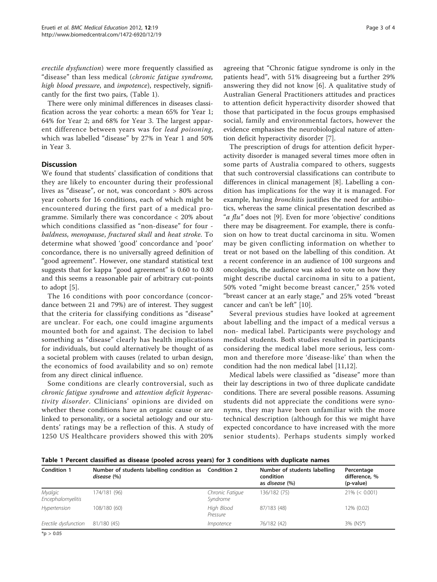erectile dysfunction) were more frequently classified as "disease" than less medical (chronic fatigue syndrome, high blood pressure, and impotence), respectively, significantly for the first two pairs, (Table 1).

There were only minimal differences in diseases classification across the year cohorts: a mean 65% for Year 1; 64% for Year 2; and 68% for Year 3. The largest apparent difference between years was for lead poisoning, which was labelled "disease" by 27% in Year 1 and 50% in Year 3.

## **Discussion**

We found that students' classification of conditions that they are likely to encounter during their professional lives as "disease", or not, was concordant > 80% across year cohorts for 16 conditions, each of which might be encountered during the first part of a medical programme. Similarly there was concordance < 20% about which conditions classified as "non-disease" for four baldness, menopause, fractured skull and heat stroke. To determine what showed 'good' concordance and 'poor' concordance, there is no universally agreed definition of "good agreement". However, one standard statistical text suggests that for kappa "good agreement" is 0.60 to 0.80 and this seems a reasonable pair of arbitrary cut-points to adopt [[5](#page-3-0)].

The 16 conditions with poor concordance (concordance between 21 and 79%) are of interest. They suggest that the criteria for classifying conditions as "disease" are unclear. For each, one could imagine arguments mounted both for and against. The decision to label something as "disease" clearly has health implications for individuals, but could alternatively be thought of as a societal problem with causes (related to urban design, the economics of food availability and so on) remote from any direct clinical influence.

Some conditions are clearly controversial, such as chronic fatigue syndrome and attention deficit hyperactivity disorder. Clinicians' opinions are divided on whether these conditions have an organic cause or are linked to personality, or a societal aetiology and our students' ratings may be a reflection of this. A study of 1250 US Healthcare providers showed this with 20% agreeing that "Chronic fatigue syndrome is only in the patients head", with 51% disagreeing but a further 29% answering they did not know [\[6](#page-3-0)]. A qualitative study of Australian General Practitioners attitudes and practices to attention deficit hyperactivity disorder showed that those that participated in the focus groups emphasised social, family and environmental factors, however the evidence emphasises the neurobiological nature of attention deficit hyperactivity disorder [\[7](#page-3-0)].

The prescription of drugs for attention deficit hyperactivity disorder is managed several times more often in some parts of Australia compared to others, suggests that such controversial classifications can contribute to differences in clinical management [[8](#page-3-0)]. Labelling a condition has implications for the way it is managed. For example, having *bronchitis* justifies the need for antibiotics, whereas the same clinical presentation described as "*a flu*" does not [\[9](#page-3-0)]. Even for more 'objective' conditions there may be disagreement. For example, there is confusion on how to treat ductal carcinoma in situ. Women may be given conflicting information on whether to treat or not based on the labelling of this condition. At a recent conference in an audience of 100 surgeons and oncologists, the audience was asked to vote on how they might describe ductal carcinoma in situ to a patient, 50% voted "might become breast cancer," 25% voted "breast cancer at an early stage," and 25% voted "breast cancer and can't be left" [[10\]](#page-3-0).

Several previous studies have looked at agreement about labelling and the impact of a medical versus a non- medical label. Participants were psychology and medical students. Both studies resulted in participants considering the medical label more serious, less common and therefore more 'disease-like' than when the condition had the non medical label [\[11,12\]](#page-3-0).

Medical labels were classified as "disease" more than their lay descriptions in two of three duplicate candidate conditions. There are several possible reasons. Assuming students did not appreciate the conditions were synonyms, they may have been unfamiliar with the more technical description (although for this we might have expected concordance to have increased with the more senior students). Perhaps students simply worked

Table 1 Percent classified as disease (pooled across years) for 3 conditions with duplicate names

| Condition 1                      | Number of students labelling condition as Condition 2<br>disease (%) |                             | Number of students labelling<br>condition<br>as disease (%) | Percentage<br>difference, %<br>(p-value) |
|----------------------------------|----------------------------------------------------------------------|-----------------------------|-------------------------------------------------------------|------------------------------------------|
| Myalgic<br>Encephalomyelitis     | 174/181 (96)                                                         | Chronic Fatique<br>Syndrome | 136/182 (75)                                                | $21\% (< 0.001)$                         |
| Hypertension                     | 108/180 (60)                                                         | High Blood<br>Pressure      | 87/183 (48)                                                 | 12% (0.02)                               |
| Erectile dysfunction 81/180 (45) |                                                                      | Impotence                   | 76/182 (42)                                                 | 3% (NS*)                                 |

 $*$ p > 0.05